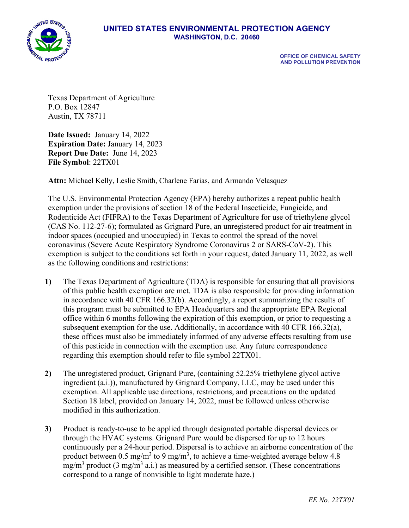

## **UNITED STATES ENVIRONMENTAL PROTECTION AGENCY WASHINGTON, D.C. 20460**

 **OFFICE OF CHEMICAL SAFETY AND POLLUTION PREVENTION**

Texas Department of Agriculture P.O. Box 12847 Austin, TX 78711

**Date Issued:** January 14, 2022 **Expiration Date: January 14, 2023 Report Due Date:** June 14, 2023 **File Symbol**: 22TX01

**Attn:** Michael Kelly, Leslie Smith, Charlene Farias, and Armando Velasquez

The U.S. Environmental Protection Agency (EPA) hereby authorizes a repeat public health exemption under the provisions of section 18 of the Federal Insecticide, Fungicide, and Rodenticide Act (FIFRA) to the Texas Department of Agriculture for use of triethylene glycol (CAS No. 112-27-6); formulated as Grignard Pure, an unregistered product for air treatment in indoor spaces (occupied and unoccupied) in Texas to control the spread of the novel coronavirus (Severe Acute Respiratory Syndrome Coronavirus 2 or SARS-CoV-2). This exemption is subject to the conditions set forth in your request, dated January 11, 2022, as well as the following conditions and restrictions:

- **1)** The Texas Department of Agriculture (TDA) is responsible for ensuring that all provisions of this public health exemption are met. TDA is also responsible for providing information in accordance with 40 CFR 166.32(b). Accordingly, a report summarizing the results of this program must be submitted to EPA Headquarters and the appropriate EPA Regional office within 6 months following the expiration of this exemption, or prior to requesting a subsequent exemption for the use. Additionally, in accordance with 40 CFR 166.32(a), these offices must also be immediately informed of any adverse effects resulting from use of this pesticide in connection with the exemption use. Any future correspondence regarding this exemption should refer to file symbol 22TX01.
- **2)** The unregistered product, Grignard Pure, (containing 52.25% triethylene glycol active ingredient (a.i.)), manufactured by Grignard Company, LLC, may be used under this exemption. All applicable use directions, restrictions, and precautions on the updated Section 18 label, provided on January 14, 2022, must be followed unless otherwise modified in this authorization.
- **3)** Product is ready-to-use to be applied through designated portable dispersal devices or through the HVAC systems. Grignard Pure would be dispersed for up to 12 hours continuously per a 24-hour period. Dispersal is to achieve an airborne concentration of the product between 0.5 mg/m<sup>3</sup> to 9 mg/m<sup>3</sup>, to achieve a time-weighted average below 4.8 mg/m<sup>3</sup> product (3 mg/m<sup>3</sup> a.i.) as measured by a certified sensor. (These concentrations correspond to a range of nonvisible to light moderate haze.)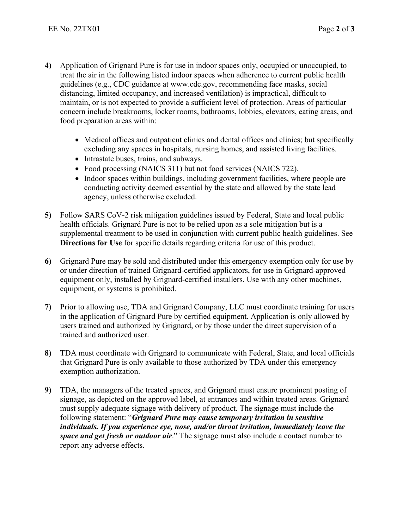- **4)** Application of Grignard Pure is for use in indoor spaces only, occupied or unoccupied, to treat the air in the following listed indoor spaces when adherence to current public health guidelines (e.g., CDC guidance at www.cdc.gov, recommending face masks, social distancing, limited occupancy, and increased ventilation) is impractical, difficult to maintain, or is not expected to provide a sufficient level of protection. Areas of particular concern include breakrooms, locker rooms, bathrooms, lobbies, elevators, eating areas, and food preparation areas within:
	- Medical offices and outpatient clinics and dental offices and clinics; but specifically excluding any spaces in hospitals, nursing homes, and assisted living facilities.
	- Intrastate buses, trains, and subways.
	- Food processing (NAICS 311) but not food services (NAICS 722).
	- Indoor spaces within buildings, including government facilities, where people are conducting activity deemed essential by the state and allowed by the state lead agency, unless otherwise excluded.
- **5)** Follow SARS CoV-2 risk mitigation guidelines issued by Federal, State and local public health officials. Grignard Pure is not to be relied upon as a sole mitigation but is a supplemental treatment to be used in conjunction with current public health guidelines. See **Directions for Use** for specific details regarding criteria for use of this product.
- **6)** Grignard Pure may be sold and distributed under this emergency exemption only for use by or under direction of trained Grignard-certified applicators, for use in Grignard-approved equipment only, installed by Grignard-certified installers. Use with any other machines, equipment, or systems is prohibited.
- **7)** Prior to allowing use, TDA and Grignard Company, LLC must coordinate training for users in the application of Grignard Pure by certified equipment. Application is only allowed by users trained and authorized by Grignard, or by those under the direct supervision of a trained and authorized user.
- **8)** TDA must coordinate with Grignard to communicate with Federal, State, and local officials that Grignard Pure is only available to those authorized by TDA under this emergency exemption authorization.
- **9)** TDA, the managers of the treated spaces, and Grignard must ensure prominent posting of signage, as depicted on the approved label, at entrances and within treated areas. Grignard must supply adequate signage with delivery of product. The signage must include the following statement: "*Grignard Pure may cause temporary irritation in sensitive individuals. If you experience eye, nose, and/or throat irritation, immediately leave the space and get fresh or outdoor air*." The signage must also include a contact number to report any adverse effects.